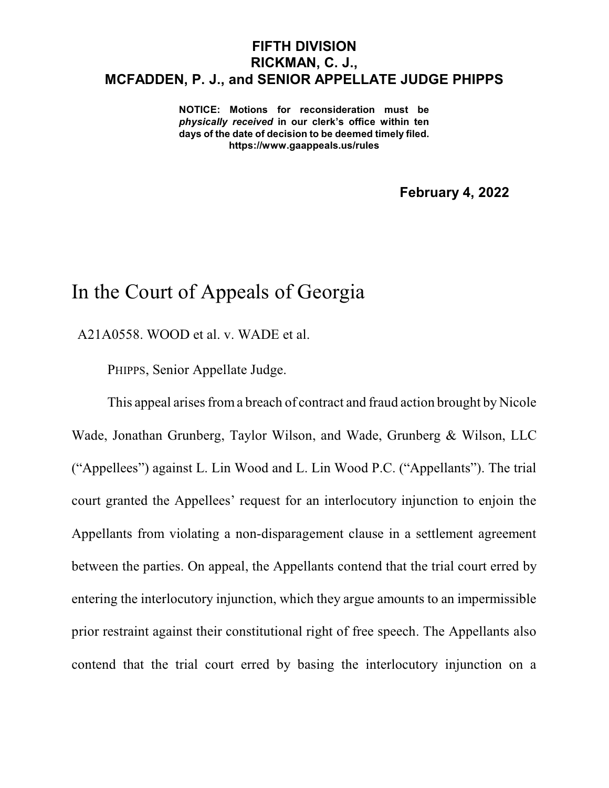## **FIFTH DIVISION RICKMAN, C. J., MCFADDEN, P. J., and SENIOR APPELLATE JUDGE PHIPPS**

**NOTICE: Motions for reconsideration must be** *physically received* **in our clerk's office within ten days of the date of decision to be deemed timely filed. https://www.gaappeals.us/rules**

**February 4, 2022**

## In the Court of Appeals of Georgia

A21A0558. WOOD et al. v. WADE et al.

PHIPPS, Senior Appellate Judge.

This appeal arises from a breach of contract and fraud action brought by Nicole Wade, Jonathan Grunberg, Taylor Wilson, and Wade, Grunberg & Wilson, LLC ("Appellees") against L. Lin Wood and L. Lin Wood P.C. ("Appellants"). The trial court granted the Appellees' request for an interlocutory injunction to enjoin the Appellants from violating a non-disparagement clause in a settlement agreement between the parties. On appeal, the Appellants contend that the trial court erred by entering the interlocutory injunction, which they argue amounts to an impermissible prior restraint against their constitutional right of free speech. The Appellants also contend that the trial court erred by basing the interlocutory injunction on a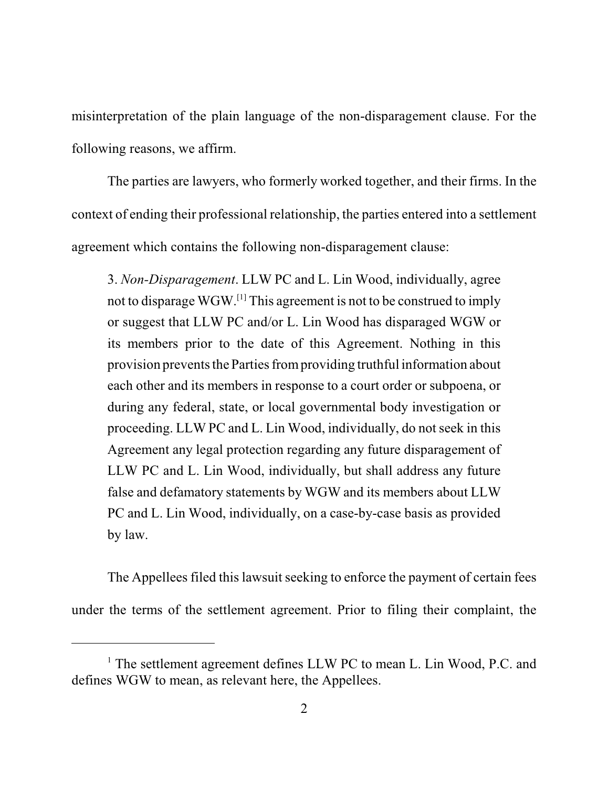misinterpretation of the plain language of the non-disparagement clause. For the following reasons, we affirm.

The parties are lawyers, who formerly worked together, and their firms. In the context of ending their professional relationship, the parties entered into a settlement agreement which contains the following non-disparagement clause:

3. *Non-Disparagement*. LLW PC and L. Lin Wood, individually, agree not to disparage  $\rm W GW. ^{[1]}$  This agreement is not to be construed to imply or suggest that LLW PC and/or L. Lin Wood has disparaged WGW or its members prior to the date of this Agreement. Nothing in this provision prevents the Parties from providing truthful information about each other and its members in response to a court order or subpoena, or during any federal, state, or local governmental body investigation or proceeding. LLW PC and L. Lin Wood, individually, do not seek in this Agreement any legal protection regarding any future disparagement of LLW PC and L. Lin Wood, individually, but shall address any future false and defamatory statements by WGW and its members about LLW PC and L. Lin Wood, individually, on a case-by-case basis as provided by law.

The Appellees filed this lawsuit seeking to enforce the payment of certain fees under the terms of the settlement agreement. Prior to filing their complaint, the

<sup>&</sup>lt;sup>1</sup> The settlement agreement defines LLW PC to mean L. Lin Wood, P.C. and defines WGW to mean, as relevant here, the Appellees.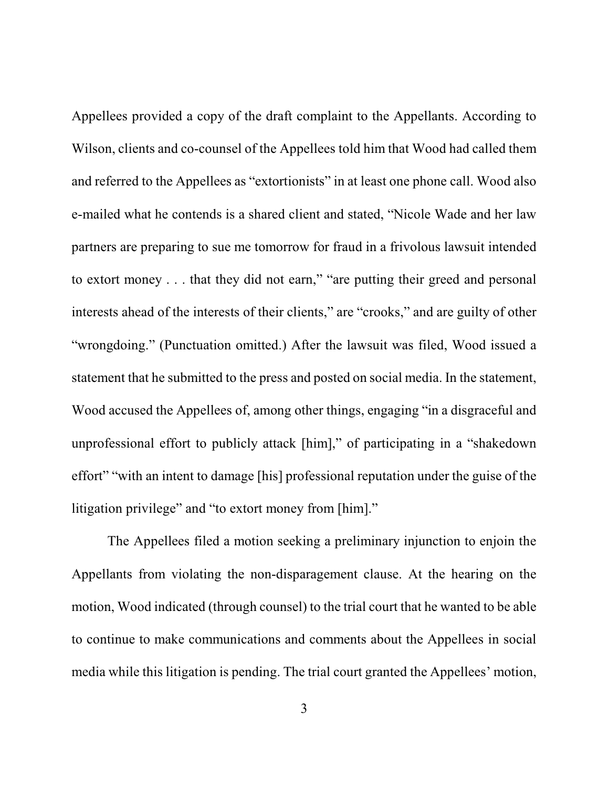Appellees provided a copy of the draft complaint to the Appellants. According to Wilson, clients and co-counsel of the Appellees told him that Wood had called them and referred to the Appellees as "extortionists" in at least one phone call. Wood also e-mailed what he contends is a shared client and stated, "Nicole Wade and her law partners are preparing to sue me tomorrow for fraud in a frivolous lawsuit intended to extort money . . . that they did not earn," "are putting their greed and personal interests ahead of the interests of their clients," are "crooks," and are guilty of other "wrongdoing." (Punctuation omitted.) After the lawsuit was filed, Wood issued a statement that he submitted to the press and posted on social media. In the statement, Wood accused the Appellees of, among other things, engaging "in a disgraceful and unprofessional effort to publicly attack [him]," of participating in a "shakedown effort" "with an intent to damage [his] professional reputation under the guise of the litigation privilege" and "to extort money from [him]."

The Appellees filed a motion seeking a preliminary injunction to enjoin the Appellants from violating the non-disparagement clause. At the hearing on the motion, Wood indicated (through counsel) to the trial court that he wanted to be able to continue to make communications and comments about the Appellees in social media while this litigation is pending. The trial court granted the Appellees' motion,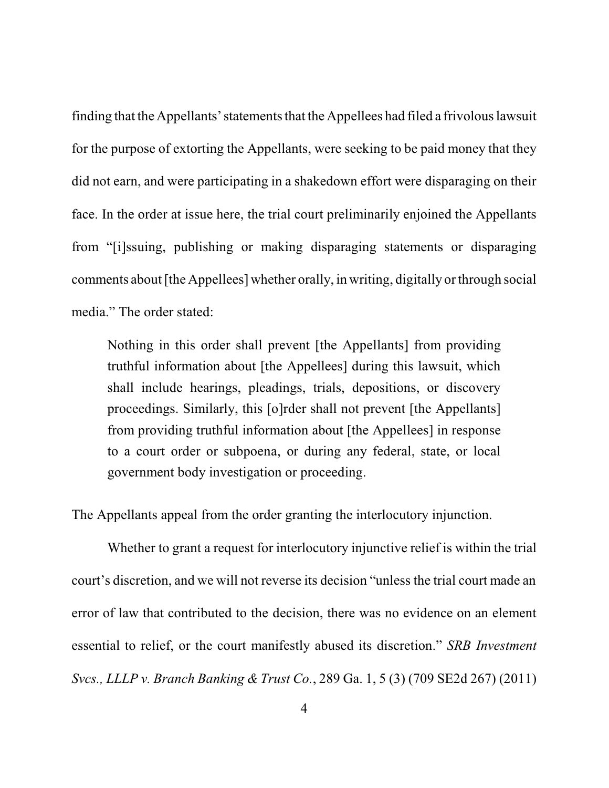finding that the Appellants'statementsthat the Appellees had filed a frivolouslawsuit for the purpose of extorting the Appellants, were seeking to be paid money that they did not earn, and were participating in a shakedown effort were disparaging on their face. In the order at issue here, the trial court preliminarily enjoined the Appellants from "[i]ssuing, publishing or making disparaging statements or disparaging comments about [the Appellees] whether orally, in writing, digitally or through social media." The order stated:

Nothing in this order shall prevent [the Appellants] from providing truthful information about [the Appellees] during this lawsuit, which shall include hearings, pleadings, trials, depositions, or discovery proceedings. Similarly, this [o]rder shall not prevent [the Appellants] from providing truthful information about [the Appellees] in response to a court order or subpoena, or during any federal, state, or local government body investigation or proceeding.

The Appellants appeal from the order granting the interlocutory injunction.

Whether to grant a request for interlocutory injunctive relief is within the trial court's discretion, and we will not reverse its decision "unless the trial court made an error of law that contributed to the decision, there was no evidence on an element essential to relief, or the court manifestly abused its discretion." *SRB Investment Svcs., LLLP v. Branch Banking & Trust Co.*, 289 Ga. 1, 5 (3) (709 SE2d 267) (2011)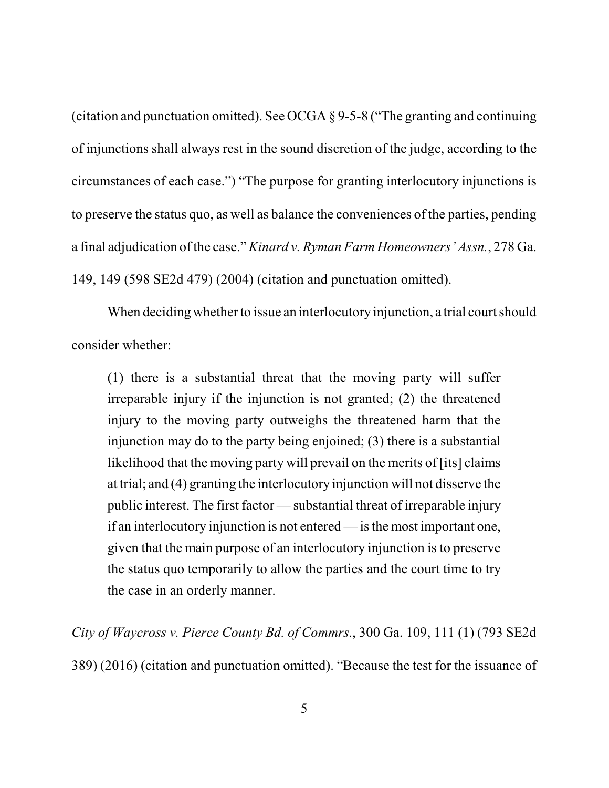(citation and punctuation omitted). See OCGA § 9-5-8 ("The granting and continuing of injunctions shall always rest in the sound discretion of the judge, according to the circumstances of each case.") "The purpose for granting interlocutory injunctions is to preserve the status quo, as well as balance the conveniences of the parties, pending a final adjudication of the case." *Kinard v. Ryman Farm Homeowners' Assn.*, 278 Ga. 149, 149 (598 SE2d 479) (2004) (citation and punctuation omitted).

When deciding whether to issue an interlocutory injunction, a trial court should consider whether:

(1) there is a substantial threat that the moving party will suffer irreparable injury if the injunction is not granted; (2) the threatened injury to the moving party outweighs the threatened harm that the injunction may do to the party being enjoined; (3) there is a substantial likelihood that the moving party will prevail on the merits of [its] claims at trial; and (4) granting the interlocutory injunction will not disserve the public interest. The first factor — substantial threat of irreparable injury if an interlocutory injunction is not entered — isthe most important one, given that the main purpose of an interlocutory injunction is to preserve the status quo temporarily to allow the parties and the court time to try the case in an orderly manner.

*City of Waycross v. Pierce County Bd. of Commrs.*, 300 Ga. 109, 111 (1) (793 SE2d 389) (2016) (citation and punctuation omitted). "Because the test for the issuance of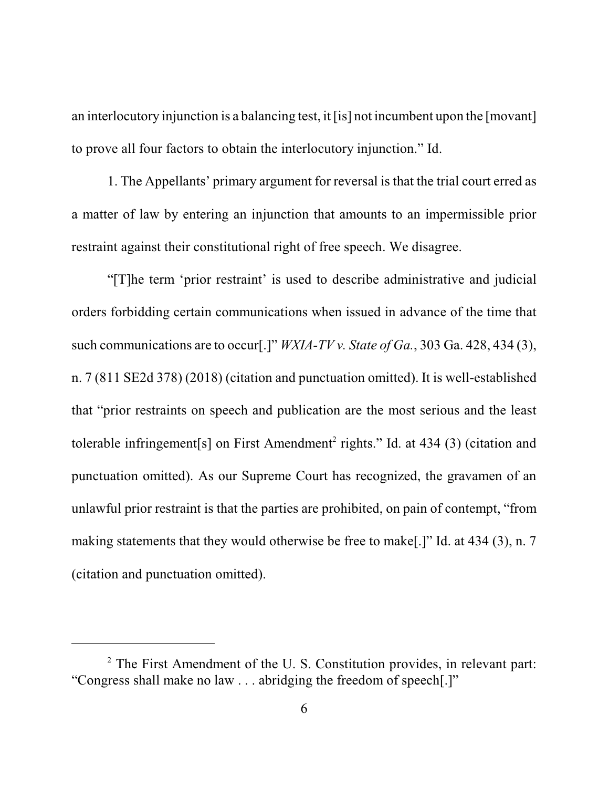an interlocutory injunction is a balancing test, it [is] not incumbent upon the [movant] to prove all four factors to obtain the interlocutory injunction." Id.

1. The Appellants' primary argument for reversal is that the trial court erred as a matter of law by entering an injunction that amounts to an impermissible prior restraint against their constitutional right of free speech. We disagree.

"[T]he term 'prior restraint' is used to describe administrative and judicial orders forbidding certain communications when issued in advance of the time that such communications are to occur[.]" *WXIA-TV v. State of Ga.*, 303 Ga. 428, 434 (3), n. 7 (811 SE2d 378) (2018) (citation and punctuation omitted). It is well-established that "prior restraints on speech and publication are the most serious and the least tolerable infringement[s] on First Amendment<sup>2</sup> rights." Id. at 434 (3) (citation and punctuation omitted). As our Supreme Court has recognized, the gravamen of an unlawful prior restraint is that the parties are prohibited, on pain of contempt, "from making statements that they would otherwise be free to make[.]" Id. at 434 (3), n. 7 (citation and punctuation omitted).

 $2$  The First Amendment of the U.S. Constitution provides, in relevant part: "Congress shall make no law . . . abridging the freedom of speech[.]"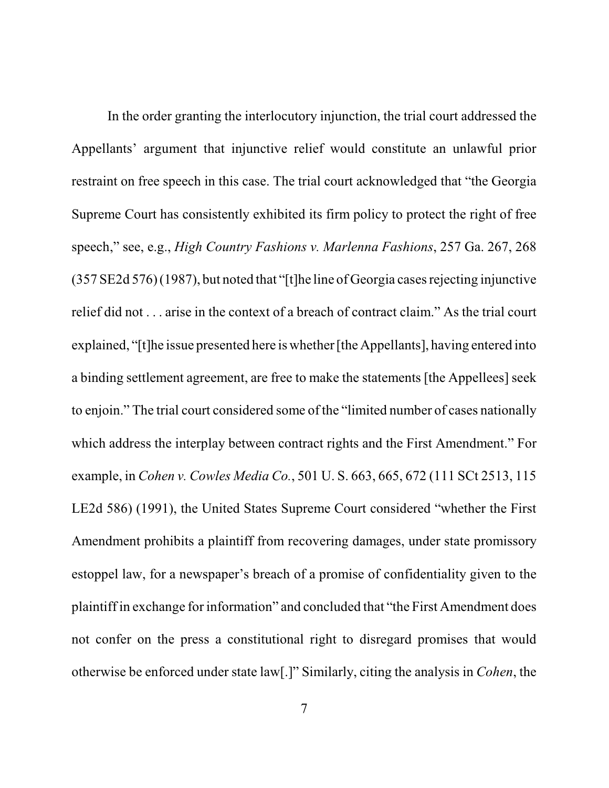In the order granting the interlocutory injunction, the trial court addressed the Appellants' argument that injunctive relief would constitute an unlawful prior restraint on free speech in this case. The trial court acknowledged that "the Georgia Supreme Court has consistently exhibited its firm policy to protect the right of free speech," see, e.g., *High Country Fashions v. Marlenna Fashions*, 257 Ga. 267, 268 (357 SE2d 576) (1987), but noted that "[t]he line of Georgia casesrejecting injunctive relief did not . . . arise in the context of a breach of contract claim." As the trial court explained, "[t]he issue presented here is whether[the Appellants], having entered into a binding settlement agreement, are free to make the statements [the Appellees] seek to enjoin." The trial court considered some of the "limited number of cases nationally which address the interplay between contract rights and the First Amendment." For example, in *Cohen v. Cowles Media Co.*, 501 U. S. 663, 665, 672 (111 SCt 2513, 115 LE2d 586) (1991), the United States Supreme Court considered "whether the First Amendment prohibits a plaintiff from recovering damages, under state promissory estoppel law, for a newspaper's breach of a promise of confidentiality given to the plaintiff in exchange for information" and concluded that "the First Amendment does not confer on the press a constitutional right to disregard promises that would otherwise be enforced under state law[.]" Similarly, citing the analysis in *Cohen*, the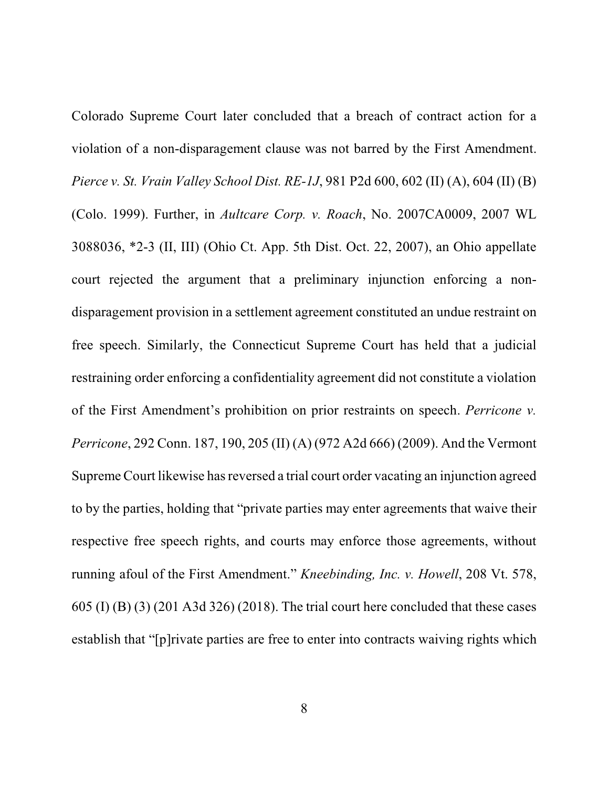Colorado Supreme Court later concluded that a breach of contract action for a violation of a non-disparagement clause was not barred by the First Amendment. *Pierce v. St. Vrain Valley School Dist. RE-1J*, 981 P2d 600, 602 (II) (A), 604 (II) (B) (Colo. 1999). Further, in *Aultcare Corp. v. Roach*, No. 2007CA0009, 2007 WL 3088036, \*2-3 (II, III) (Ohio Ct. App. 5th Dist. Oct. 22, 2007), an Ohio appellate court rejected the argument that a preliminary injunction enforcing a nondisparagement provision in a settlement agreement constituted an undue restraint on free speech. Similarly, the Connecticut Supreme Court has held that a judicial restraining order enforcing a confidentiality agreement did not constitute a violation of the First Amendment's prohibition on prior restraints on speech. *Perricone v. Perricone*, 292 Conn. 187, 190, 205 (II) (A) (972 A2d 666) (2009). And the Vermont Supreme Court likewise has reversed a trial court order vacating an injunction agreed to by the parties, holding that "private parties may enter agreements that waive their respective free speech rights, and courts may enforce those agreements, without running afoul of the First Amendment." *Kneebinding, Inc. v. Howell*, 208 Vt. 578, 605 (I) (B) (3) (201 A3d 326) (2018). The trial court here concluded that these cases establish that "[p]rivate parties are free to enter into contracts waiving rights which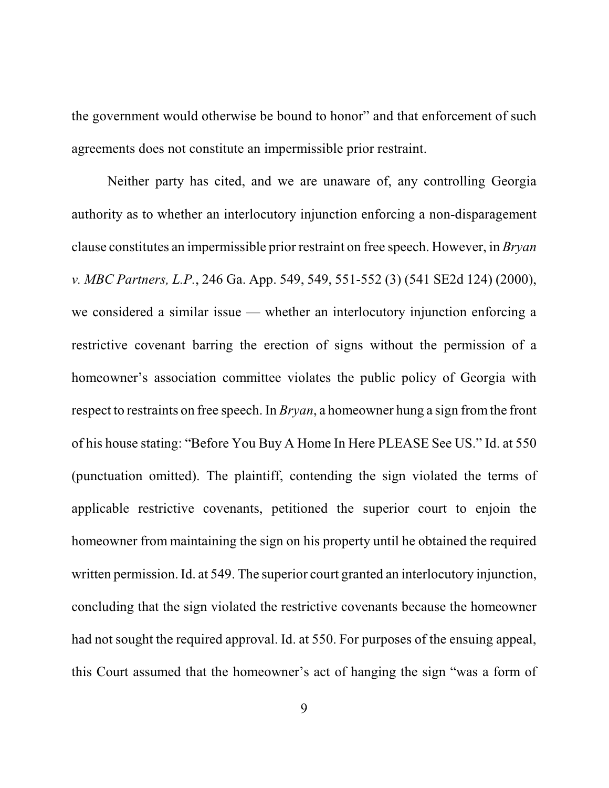the government would otherwise be bound to honor" and that enforcement of such agreements does not constitute an impermissible prior restraint.

Neither party has cited, and we are unaware of, any controlling Georgia authority as to whether an interlocutory injunction enforcing a non-disparagement clause constitutes an impermissible prior restraint on free speech. However, in *Bryan v. MBC Partners, L.P.*, 246 Ga. App. 549, 549, 551-552 (3) (541 SE2d 124) (2000), we considered a similar issue — whether an interlocutory injunction enforcing a restrictive covenant barring the erection of signs without the permission of a homeowner's association committee violates the public policy of Georgia with respect to restraints on free speech. In *Bryan*, a homeowner hung a sign fromthe front of his house stating: "Before You Buy A Home In Here PLEASE See US." Id. at 550 (punctuation omitted). The plaintiff, contending the sign violated the terms of applicable restrictive covenants, petitioned the superior court to enjoin the homeowner from maintaining the sign on his property until he obtained the required written permission. Id. at 549. The superior court granted an interlocutory injunction, concluding that the sign violated the restrictive covenants because the homeowner had not sought the required approval. Id. at 550. For purposes of the ensuing appeal, this Court assumed that the homeowner's act of hanging the sign "was a form of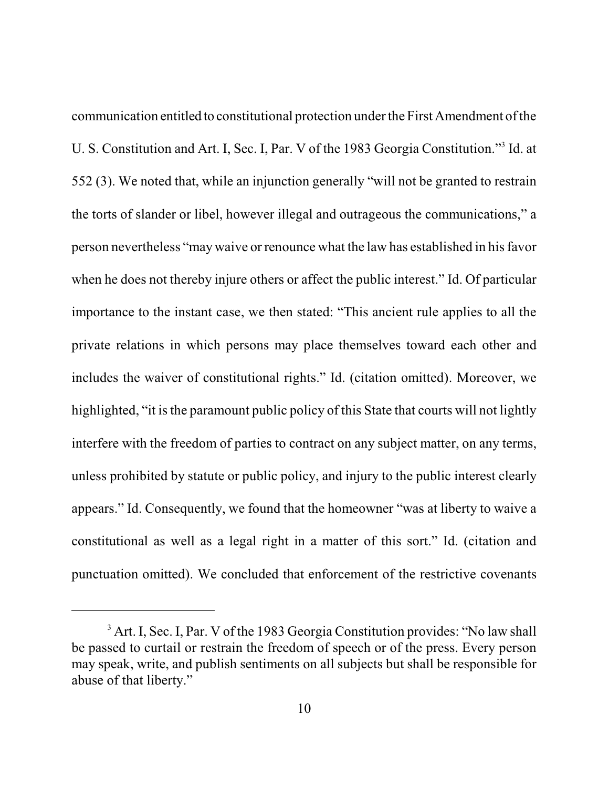communication entitled to constitutional protection under the First Amendment of the U. S. Constitution and Art. I, Sec. I, Par. V of the 1983 Georgia Constitution."<sup>3</sup> Id. at 552 (3). We noted that, while an injunction generally "will not be granted to restrain the torts of slander or libel, however illegal and outrageous the communications," a person nevertheless "may waive or renounce what the law has established in hisfavor when he does not thereby injure others or affect the public interest." Id. Of particular importance to the instant case, we then stated: "This ancient rule applies to all the private relations in which persons may place themselves toward each other and includes the waiver of constitutional rights." Id. (citation omitted). Moreover, we highlighted, "it is the paramount public policy of this State that courts will not lightly interfere with the freedom of parties to contract on any subject matter, on any terms, unless prohibited by statute or public policy, and injury to the public interest clearly appears." Id. Consequently, we found that the homeowner "was at liberty to waive a constitutional as well as a legal right in a matter of this sort." Id. (citation and punctuation omitted). We concluded that enforcement of the restrictive covenants

<sup>&</sup>lt;sup>3</sup> Art. I, Sec. I, Par. V of the 1983 Georgia Constitution provides: "No law shall be passed to curtail or restrain the freedom of speech or of the press. Every person may speak, write, and publish sentiments on all subjects but shall be responsible for abuse of that liberty."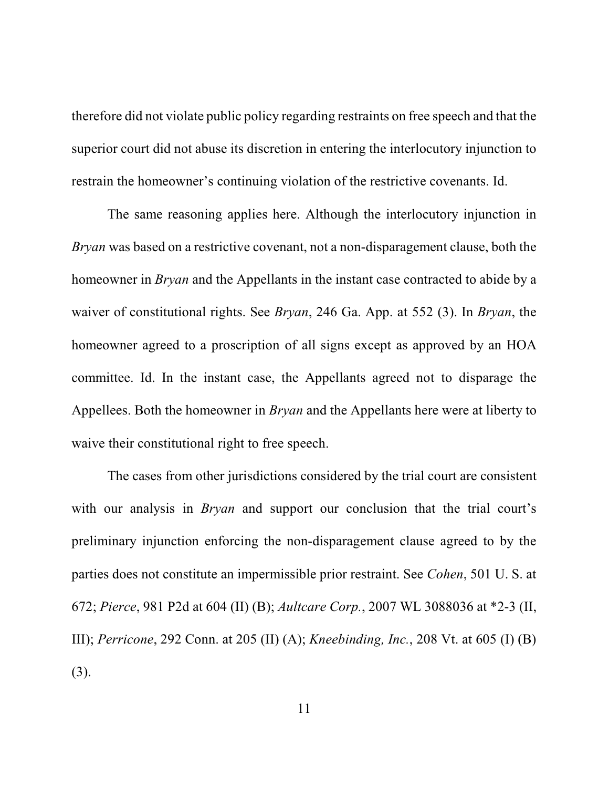therefore did not violate public policy regarding restraints on free speech and that the superior court did not abuse its discretion in entering the interlocutory injunction to restrain the homeowner's continuing violation of the restrictive covenants. Id.

The same reasoning applies here. Although the interlocutory injunction in *Bryan* was based on a restrictive covenant, not a non-disparagement clause, both the homeowner in *Bryan* and the Appellants in the instant case contracted to abide by a waiver of constitutional rights. See *Bryan*, 246 Ga. App. at 552 (3). In *Bryan*, the homeowner agreed to a proscription of all signs except as approved by an HOA committee. Id. In the instant case, the Appellants agreed not to disparage the Appellees. Both the homeowner in *Bryan* and the Appellants here were at liberty to waive their constitutional right to free speech.

The cases from other jurisdictions considered by the trial court are consistent with our analysis in *Bryan* and support our conclusion that the trial court's preliminary injunction enforcing the non-disparagement clause agreed to by the parties does not constitute an impermissible prior restraint. See *Cohen*, 501 U. S. at 672; *Pierce*, 981 P2d at 604 (II) (B); *Aultcare Corp.*, 2007 WL 3088036 at \*2-3 (II, III); *Perricone*, 292 Conn. at 205 (II) (A); *Kneebinding, Inc.*, 208 Vt. at 605 (I) (B) (3).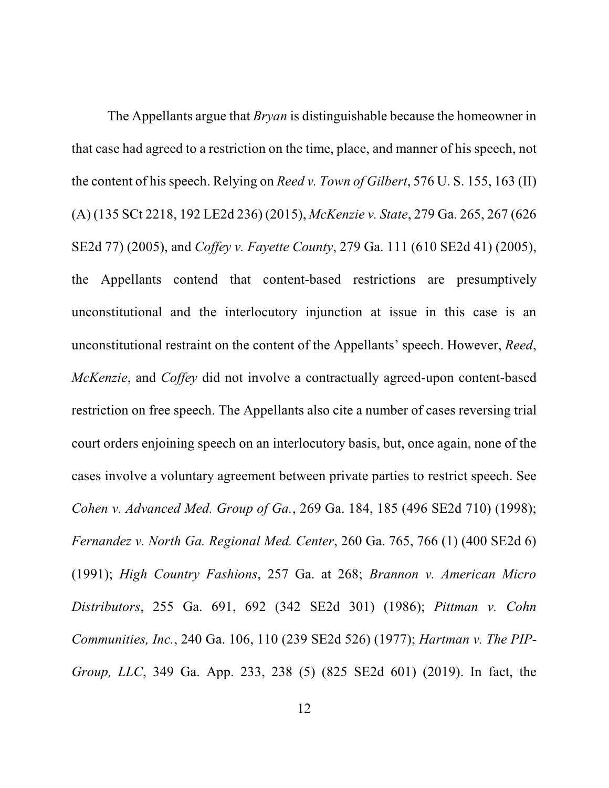The Appellants argue that *Bryan* is distinguishable because the homeowner in that case had agreed to a restriction on the time, place, and manner of his speech, not the content of his speech. Relying on *Reed v. Town of Gilbert*, 576 U. S. 155, 163 (II) (A) (135 SCt 2218, 192 LE2d 236) (2015), *McKenzie v. State*, 279 Ga. 265, 267 (626 SE2d 77) (2005), and *Coffey v. Fayette County*, 279 Ga. 111 (610 SE2d 41) (2005), the Appellants contend that content-based restrictions are presumptively unconstitutional and the interlocutory injunction at issue in this case is an unconstitutional restraint on the content of the Appellants' speech. However, *Reed*, *McKenzie*, and *Coffey* did not involve a contractually agreed-upon content-based restriction on free speech. The Appellants also cite a number of cases reversing trial court orders enjoining speech on an interlocutory basis, but, once again, none of the cases involve a voluntary agreement between private parties to restrict speech. See *Cohen v. Advanced Med. Group of Ga.*, 269 Ga. 184, 185 (496 SE2d 710) (1998); *Fernandez v. North Ga. Regional Med. Center*, 260 Ga. 765, 766 (1) (400 SE2d 6) (1991); *High Country Fashions*, 257 Ga. at 268; *Brannon v. American Micro Distributors*, 255 Ga. 691, 692 (342 SE2d 301) (1986); *Pittman v. Cohn Communities, Inc.*, 240 Ga. 106, 110 (239 SE2d 526) (1977); *Hartman v. The PIP-Group, LLC*, 349 Ga. App. 233, 238 (5) (825 SE2d 601) (2019). In fact, the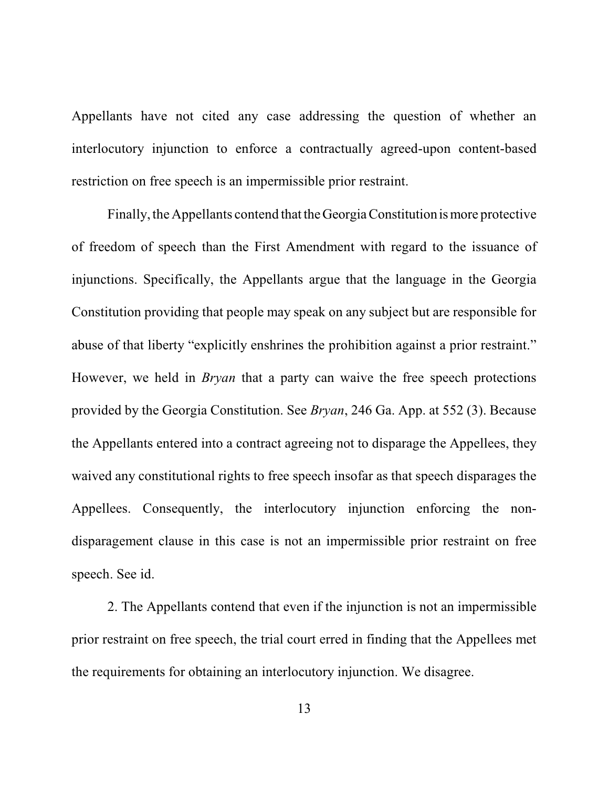Appellants have not cited any case addressing the question of whether an interlocutory injunction to enforce a contractually agreed-upon content-based restriction on free speech is an impermissible prior restraint.

Finally, the Appellants contend that theGeorgiaConstitution is more protective of freedom of speech than the First Amendment with regard to the issuance of injunctions. Specifically, the Appellants argue that the language in the Georgia Constitution providing that people may speak on any subject but are responsible for abuse of that liberty "explicitly enshrines the prohibition against a prior restraint." However, we held in *Bryan* that a party can waive the free speech protections provided by the Georgia Constitution. See *Bryan*, 246 Ga. App. at 552 (3). Because the Appellants entered into a contract agreeing not to disparage the Appellees, they waived any constitutional rights to free speech insofar as that speech disparages the Appellees. Consequently, the interlocutory injunction enforcing the nondisparagement clause in this case is not an impermissible prior restraint on free speech. See id.

2. The Appellants contend that even if the injunction is not an impermissible prior restraint on free speech, the trial court erred in finding that the Appellees met the requirements for obtaining an interlocutory injunction. We disagree.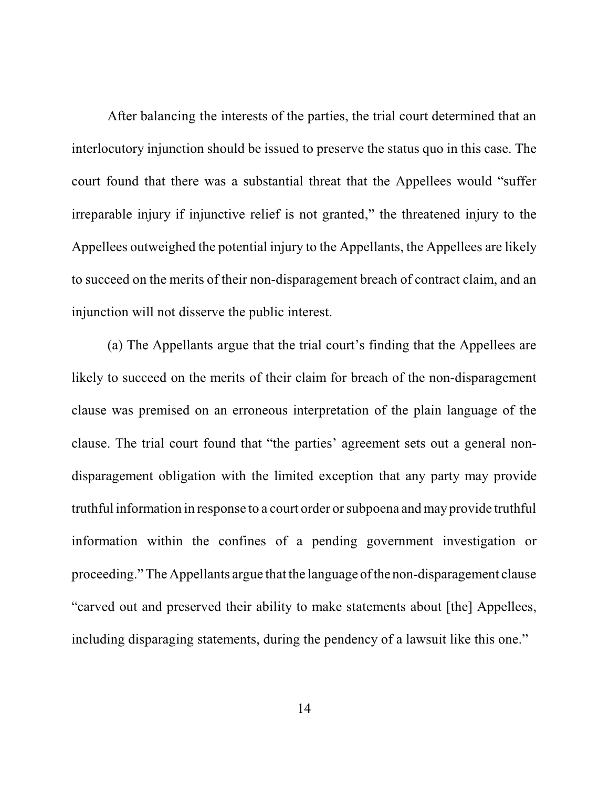After balancing the interests of the parties, the trial court determined that an interlocutory injunction should be issued to preserve the status quo in this case. The court found that there was a substantial threat that the Appellees would "suffer irreparable injury if injunctive relief is not granted," the threatened injury to the Appellees outweighed the potential injury to the Appellants, the Appellees are likely to succeed on the merits of their non-disparagement breach of contract claim, and an injunction will not disserve the public interest.

(a) The Appellants argue that the trial court's finding that the Appellees are likely to succeed on the merits of their claim for breach of the non-disparagement clause was premised on an erroneous interpretation of the plain language of the clause. The trial court found that "the parties' agreement sets out a general nondisparagement obligation with the limited exception that any party may provide truthful information in response to a court order or subpoena andmay provide truthful information within the confines of a pending government investigation or proceeding." The Appellants argue that the language ofthe non-disparagement clause "carved out and preserved their ability to make statements about [the] Appellees, including disparaging statements, during the pendency of a lawsuit like this one."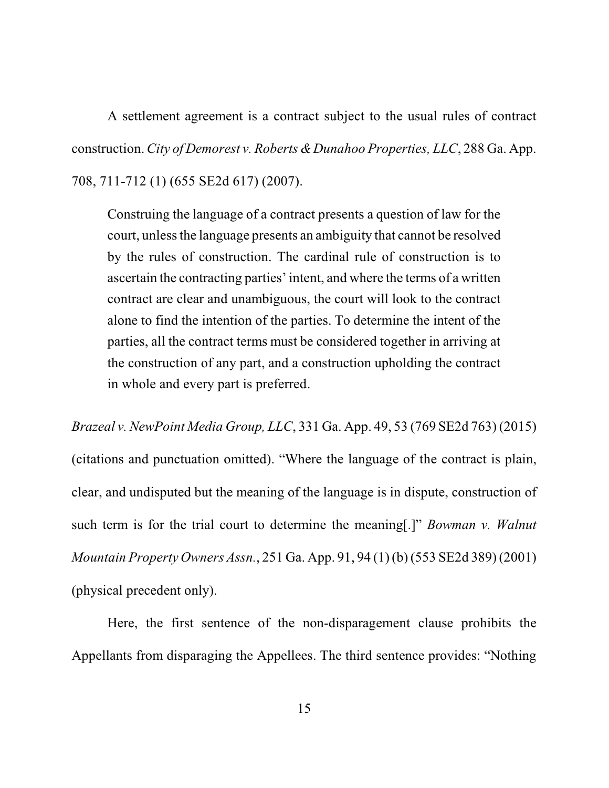A settlement agreement is a contract subject to the usual rules of contract construction. *City of Demorest v. Roberts & Dunahoo Properties, LLC*, 288 Ga. App. 708, 711-712 (1) (655 SE2d 617) (2007).

Construing the language of a contract presents a question of law for the court, unless the language presents an ambiguity that cannot be resolved by the rules of construction. The cardinal rule of construction is to ascertain the contracting parties' intent, and where the terms of a written contract are clear and unambiguous, the court will look to the contract alone to find the intention of the parties. To determine the intent of the parties, all the contract terms must be considered together in arriving at the construction of any part, and a construction upholding the contract in whole and every part is preferred.

*Brazeal v. NewPoint Media Group, LLC*, 331 Ga. App. 49, 53 (769 SE2d 763) (2015) (citations and punctuation omitted). "Where the language of the contract is plain, clear, and undisputed but the meaning of the language is in dispute, construction of such term is for the trial court to determine the meaning[.]" *Bowman v. Walnut Mountain Property Owners Assn.*, 251 Ga. App. 91, 94 (1) (b) (553 SE2d 389) (2001) (physical precedent only).

Here, the first sentence of the non-disparagement clause prohibits the Appellants from disparaging the Appellees. The third sentence provides: "Nothing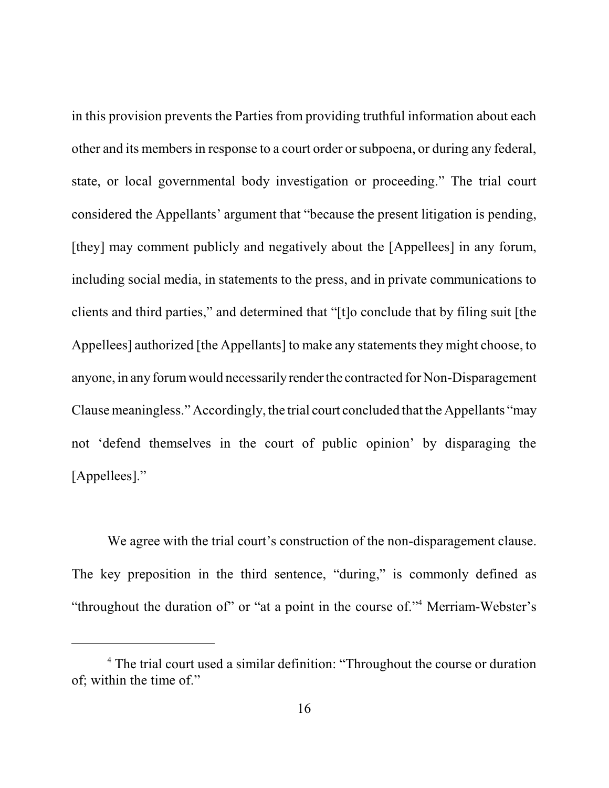in this provision prevents the Parties from providing truthful information about each other and its membersin response to a court order or subpoena, or during any federal, state, or local governmental body investigation or proceeding." The trial court considered the Appellants' argument that "because the present litigation is pending, [they] may comment publicly and negatively about the [Appellees] in any forum, including social media, in statements to the press, and in private communications to clients and third parties," and determined that "[t]o conclude that by filing suit [the Appellees] authorized [the Appellants] to make any statements they might choose, to anyone, in any forum would necessarily render the contracted for Non-Disparagement Clause meaningless." Accordingly, the trial court concluded that the Appellants "may not 'defend themselves in the court of public opinion' by disparaging the [Appellees]."

We agree with the trial court's construction of the non-disparagement clause. The key preposition in the third sentence, "during," is commonly defined as "throughout the duration of" or "at a point in the course of."<sup>4</sup> Merriam-Webster's

<sup>&</sup>lt;sup>4</sup> The trial court used a similar definition: "Throughout the course or duration" of; within the time of."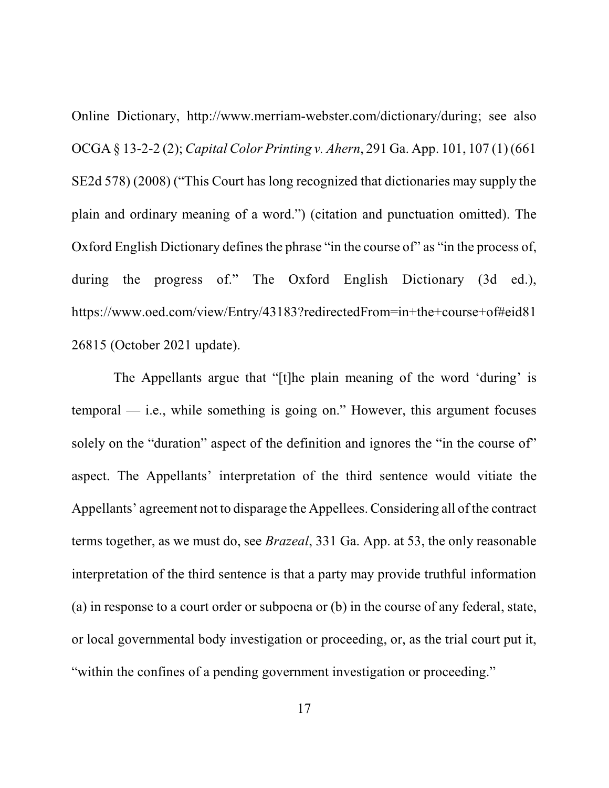Online Dictionary, http://www.merriam-webster.com/dictionary/during; see also OCGA § 13-2-2 (2); *Capital Color Printing v. Ahern*, 291 Ga. App. 101, 107 (1) (661 SE2d 578) (2008) ("This Court has long recognized that dictionaries may supply the plain and ordinary meaning of a word.") (citation and punctuation omitted). The Oxford English Dictionary defines the phrase "in the course of" as "in the process of, during the progress of." The Oxford English Dictionary (3d ed.), https://www.oed.com/view/Entry/43183?redirectedFrom=in+the+course+of#eid81 26815 (October 2021 update).

The Appellants argue that "[t]he plain meaning of the word 'during' is temporal — i.e., while something is going on." However, this argument focuses solely on the "duration" aspect of the definition and ignores the "in the course of" aspect. The Appellants' interpretation of the third sentence would vitiate the Appellants' agreement not to disparage the Appellees. Considering all of the contract terms together, as we must do, see *Brazeal*, 331 Ga. App. at 53, the only reasonable interpretation of the third sentence is that a party may provide truthful information (a) in response to a court order or subpoena or (b) in the course of any federal, state, or local governmental body investigation or proceeding, or, as the trial court put it, "within the confines of a pending government investigation or proceeding."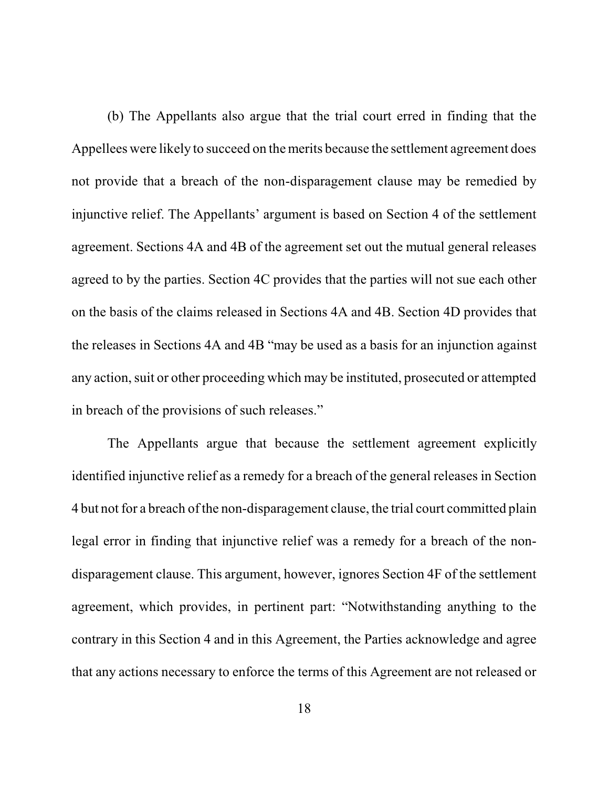(b) The Appellants also argue that the trial court erred in finding that the Appellees were likely to succeed on the merits because the settlement agreement does not provide that a breach of the non-disparagement clause may be remedied by injunctive relief. The Appellants' argument is based on Section 4 of the settlement agreement. Sections 4A and 4B of the agreement set out the mutual general releases agreed to by the parties. Section 4C provides that the parties will not sue each other on the basis of the claims released in Sections 4A and 4B. Section 4D provides that the releases in Sections 4A and 4B "may be used as a basis for an injunction against any action, suit or other proceeding which may be instituted, prosecuted or attempted in breach of the provisions of such releases."

The Appellants argue that because the settlement agreement explicitly identified injunctive relief as a remedy for a breach of the general releases in Section 4 but not for a breach of the non-disparagement clause, the trial court committed plain legal error in finding that injunctive relief was a remedy for a breach of the nondisparagement clause. This argument, however, ignores Section 4F of the settlement agreement, which provides, in pertinent part: "Notwithstanding anything to the contrary in this Section 4 and in this Agreement, the Parties acknowledge and agree that any actions necessary to enforce the terms of this Agreement are not released or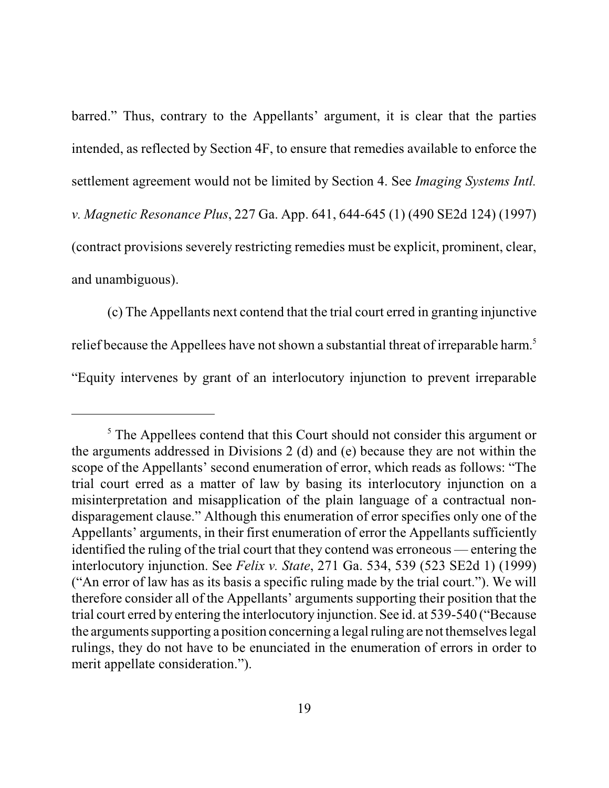barred." Thus, contrary to the Appellants' argument, it is clear that the parties intended, as reflected by Section 4F, to ensure that remedies available to enforce the settlement agreement would not be limited by Section 4. See *Imaging Systems Intl. v. Magnetic Resonance Plus*, 227 Ga. App. 641, 644-645 (1) (490 SE2d 124) (1997) (contract provisions severely restricting remedies must be explicit, prominent, clear, and unambiguous).

(c) The Appellants next contend that the trial court erred in granting injunctive relief because the Appellees have not shown a substantial threat of irreparable harm.<sup>5</sup> "Equity intervenes by grant of an interlocutory injunction to prevent irreparable

<sup>&</sup>lt;sup>5</sup> The Appellees contend that this Court should not consider this argument or the arguments addressed in Divisions 2 (d) and (e) because they are not within the scope of the Appellants' second enumeration of error, which reads as follows: "The trial court erred as a matter of law by basing its interlocutory injunction on a misinterpretation and misapplication of the plain language of a contractual nondisparagement clause." Although this enumeration of error specifies only one of the Appellants' arguments, in their first enumeration of error the Appellants sufficiently identified the ruling of the trial court that they contend was erroneous — entering the interlocutory injunction. See *Felix v. State*, 271 Ga. 534, 539 (523 SE2d 1) (1999) ("An error of law has as its basis a specific ruling made by the trial court."). We will therefore consider all of the Appellants' arguments supporting their position that the trial court erred by entering the interlocutory injunction. See id. at 539-540 ("Because the arguments supporting a position concerning a legal ruling are not themselves legal rulings, they do not have to be enunciated in the enumeration of errors in order to merit appellate consideration.").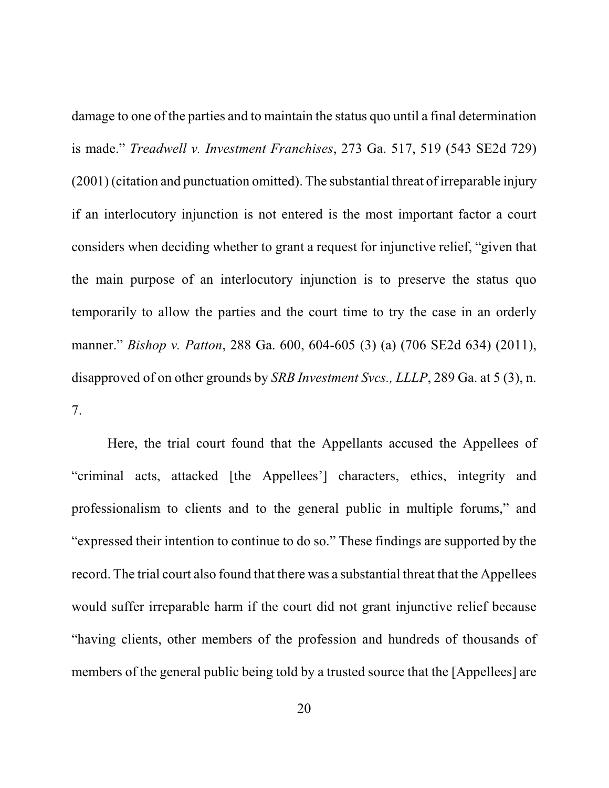damage to one of the parties and to maintain the status quo until a final determination is made." *Treadwell v. Investment Franchises*, 273 Ga. 517, 519 (543 SE2d 729) (2001) (citation and punctuation omitted). The substantial threat of irreparable injury if an interlocutory injunction is not entered is the most important factor a court considers when deciding whether to grant a request for injunctive relief, "given that the main purpose of an interlocutory injunction is to preserve the status quo temporarily to allow the parties and the court time to try the case in an orderly manner." *Bishop v. Patton*, 288 Ga. 600, 604-605 (3) (a) (706 SE2d 634) (2011), disapproved of on other grounds by *SRB Investment Svcs., LLLP*, 289 Ga. at 5 (3), n. 7.

Here, the trial court found that the Appellants accused the Appellees of "criminal acts, attacked [the Appellees'] characters, ethics, integrity and professionalism to clients and to the general public in multiple forums," and "expressed their intention to continue to do so." These findings are supported by the record. The trial court also found that there was a substantial threat that the Appellees would suffer irreparable harm if the court did not grant injunctive relief because "having clients, other members of the profession and hundreds of thousands of members of the general public being told by a trusted source that the [Appellees] are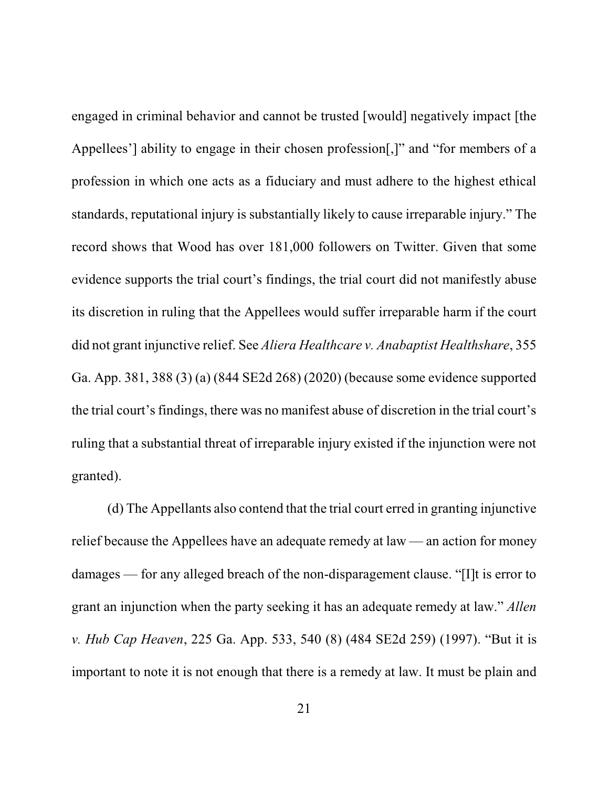engaged in criminal behavior and cannot be trusted [would] negatively impact [the Appellees'] ability to engage in their chosen profession[,]" and "for members of a profession in which one acts as a fiduciary and must adhere to the highest ethical standards, reputational injury is substantially likely to cause irreparable injury." The record shows that Wood has over 181,000 followers on Twitter. Given that some evidence supports the trial court's findings, the trial court did not manifestly abuse its discretion in ruling that the Appellees would suffer irreparable harm if the court did not grant injunctive relief. See *Aliera Healthcare v. Anabaptist Healthshare*, 355 Ga. App. 381, 388 (3) (a) (844 SE2d 268) (2020) (because some evidence supported the trial court's findings, there was no manifest abuse of discretion in the trial court's ruling that a substantial threat of irreparable injury existed if the injunction were not granted).

(d) The Appellants also contend that the trial court erred in granting injunctive relief because the Appellees have an adequate remedy at law — an action for money damages — for any alleged breach of the non-disparagement clause. "[I]t is error to grant an injunction when the party seeking it has an adequate remedy at law." *Allen v. Hub Cap Heaven*, 225 Ga. App. 533, 540 (8) (484 SE2d 259) (1997). "But it is important to note it is not enough that there is a remedy at law. It must be plain and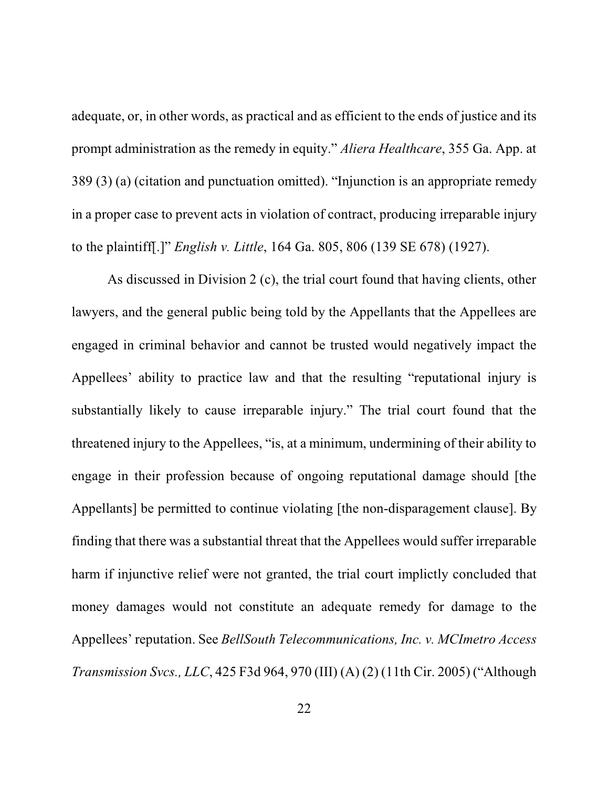adequate, or, in other words, as practical and as efficient to the ends of justice and its prompt administration as the remedy in equity." *Aliera Healthcare*, 355 Ga. App. at 389 (3) (a) (citation and punctuation omitted). "Injunction is an appropriate remedy in a proper case to prevent acts in violation of contract, producing irreparable injury to the plaintiff[.]" *English v. Little*, 164 Ga. 805, 806 (139 SE 678) (1927).

As discussed in Division 2 (c), the trial court found that having clients, other lawyers, and the general public being told by the Appellants that the Appellees are engaged in criminal behavior and cannot be trusted would negatively impact the Appellees' ability to practice law and that the resulting "reputational injury is substantially likely to cause irreparable injury." The trial court found that the threatened injury to the Appellees, "is, at a minimum, undermining of their ability to engage in their profession because of ongoing reputational damage should [the Appellants] be permitted to continue violating [the non-disparagement clause]. By finding that there was a substantial threat that the Appellees would suffer irreparable harm if injunctive relief were not granted, the trial court implictly concluded that money damages would not constitute an adequate remedy for damage to the Appellees' reputation. See *BellSouth Telecommunications, Inc. v. MCImetro Access Transmission Svcs., LLC*, 425 F3d 964, 970 (III) (A) (2) (11th Cir. 2005) ("Although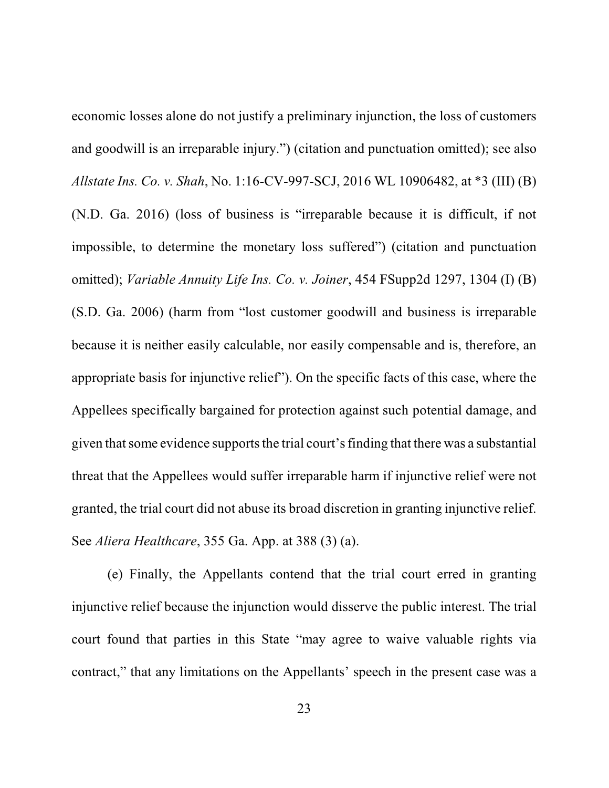economic losses alone do not justify a preliminary injunction, the loss of customers and goodwill is an irreparable injury.") (citation and punctuation omitted); see also *Allstate Ins. Co. v. Shah*, No. 1:16-CV-997-SCJ, 2016 WL 10906482, at \*3 (III) (B) (N.D. Ga. 2016) (loss of business is "irreparable because it is difficult, if not impossible, to determine the monetary loss suffered") (citation and punctuation omitted); *Variable Annuity Life Ins. Co. v. Joiner*, 454 FSupp2d 1297, 1304 (I) (B) (S.D. Ga. 2006) (harm from "lost customer goodwill and business is irreparable because it is neither easily calculable, nor easily compensable and is, therefore, an appropriate basis for injunctive relief"). On the specific facts of this case, where the Appellees specifically bargained for protection against such potential damage, and given that some evidence supports the trial court's finding that there was a substantial threat that the Appellees would suffer irreparable harm if injunctive relief were not granted, the trial court did not abuse its broad discretion in granting injunctive relief. See *Aliera Healthcare*, 355 Ga. App. at 388 (3) (a).

(e) Finally, the Appellants contend that the trial court erred in granting injunctive relief because the injunction would disserve the public interest. The trial court found that parties in this State "may agree to waive valuable rights via contract," that any limitations on the Appellants' speech in the present case was a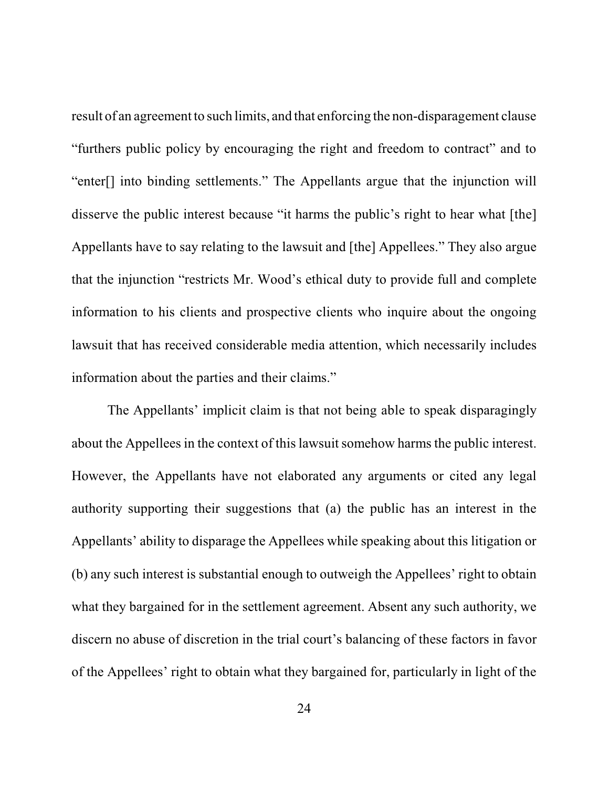result of an agreement to such limits, and that enforcing the non-disparagement clause "furthers public policy by encouraging the right and freedom to contract" and to "enter[] into binding settlements." The Appellants argue that the injunction will disserve the public interest because "it harms the public's right to hear what [the] Appellants have to say relating to the lawsuit and [the] Appellees." They also argue that the injunction "restricts Mr. Wood's ethical duty to provide full and complete information to his clients and prospective clients who inquire about the ongoing lawsuit that has received considerable media attention, which necessarily includes information about the parties and their claims."

The Appellants' implicit claim is that not being able to speak disparagingly about the Appellees in the context of this lawsuit somehow harms the public interest. However, the Appellants have not elaborated any arguments or cited any legal authority supporting their suggestions that (a) the public has an interest in the Appellants' ability to disparage the Appellees while speaking about this litigation or (b) any such interest is substantial enough to outweigh the Appellees' right to obtain what they bargained for in the settlement agreement. Absent any such authority, we discern no abuse of discretion in the trial court's balancing of these factors in favor of the Appellees' right to obtain what they bargained for, particularly in light of the